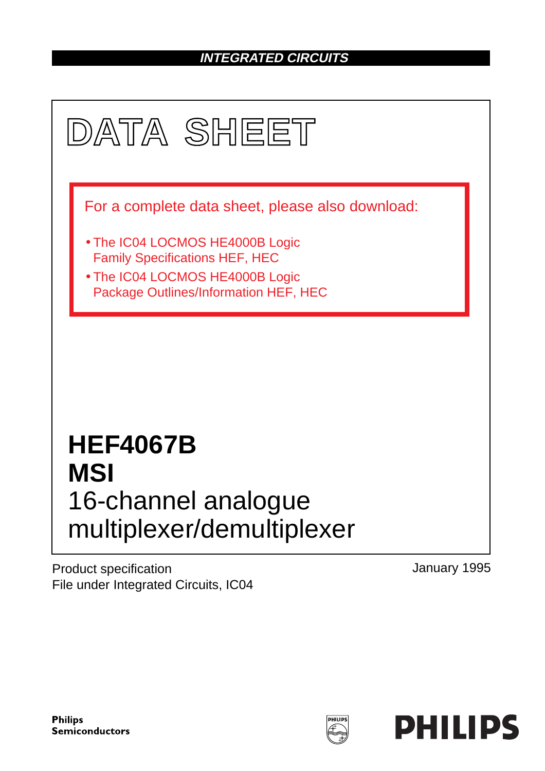# **INTEGRATED CIRCUITS**



Product specification File under Integrated Circuits, IC04 January 1995

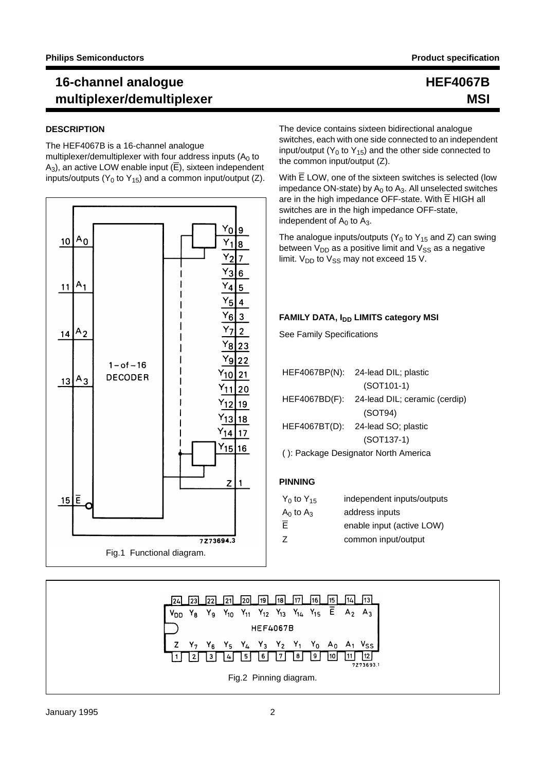#### **DESCRIPTION**

The HEF4067B is a 16-channel analogue

multiplexer/demultiplexer with four address inputs  $(A<sub>0</sub>$  to  $A_3$ ), an active LOW enable input ( $\overline{E}$ ), sixteen independent inputs/outputs ( $Y_0$  to  $Y_{15}$ ) and a common input/output (Z).



### **HEF4067B MSI**

The device contains sixteen bidirectional analogue switches, each with one side connected to an independent input/output ( $Y_0$  to  $Y_{15}$ ) and the other side connected to the common input/output (Z).

With  $\overline{E}$  LOW, one of the sixteen switches is selected (low impedance ON-state) by  $A_0$  to  $A_3$ . All unselected switches are in the high impedance OFF-state. With  $\overline{E}$  HIGH all switches are in the high impedance OFF-state, independent of  $A_0$  to  $A_3$ .

The analogue inputs/outputs ( $Y_0$  to  $Y_{15}$  and Z) can swing between  $V_{DD}$  as a positive limit and  $V_{SS}$  as a negative limit.  $V_{DD}$  to  $V_{SS}$  may not exceed 15 V.

#### **FAMILY DATA, IDD LIMITS category MSI**

See Family Specifications

|                                      | HEF4067BP(N): 24-lead DIL; plastic          |  |  |  |  |  |
|--------------------------------------|---------------------------------------------|--|--|--|--|--|
|                                      | $(SOT101-1)$                                |  |  |  |  |  |
|                                      | HEF4067BD(F): 24-lead DIL; ceramic (cerdip) |  |  |  |  |  |
|                                      | (SOT94)                                     |  |  |  |  |  |
|                                      | HEF4067BT(D): 24-lead SO; plastic           |  |  |  |  |  |
|                                      | $(SOT137-1)$                                |  |  |  |  |  |
| (): Package Designator North America |                                             |  |  |  |  |  |

#### **PINNING**

| $Y_0$ to $Y_{15}$ | independent inputs/outputs |
|-------------------|----------------------------|
| $A_0$ to $A_3$    | address inputs             |
| $\bar{E}$         | enable input (active LOW)  |
| Z                 | common input/output        |

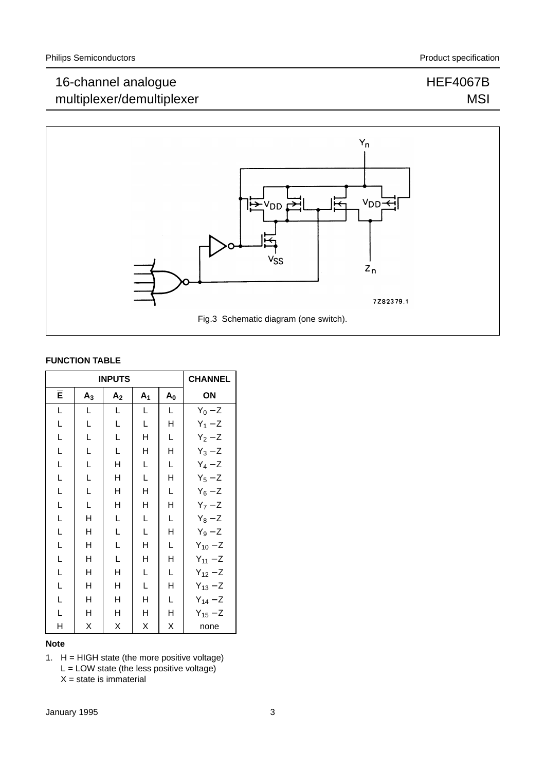## HEF4067B **MSI**



#### **FUNCTION TABLE**

|   | <b>INPUTS</b> | <b>CHANNEL</b> |                |       |              |
|---|---------------|----------------|----------------|-------|--------------|
| Ē | $A_3$         | A <sub>2</sub> | A <sub>1</sub> | $A_0$ | ΟN           |
| L | L             | L              | L              | L     | $Y_0 - Z$    |
| Г | L             | L              | L              | Н     | $Y_1 - Z$    |
| Г | L             | L              | Η              | L     | $Y_2 - Z$    |
| Г | L             | L              | н              | н     | $Y_3 - Z$    |
| L | L             | Н              | L              | L     | $Y_4 - Z$    |
| Г | L             | Н              | L              | н     | $Y_5 - Z$    |
| Г | L             | Η              | н              | L     | $Y_6 - Z$    |
| Г | L             | Η              | Η              | н     | $Y_7 - Z$    |
| L | Η             | Г              | L              | L     | $Y_8 - Z$    |
| L | Н             | L              | L              | Η     | $Y_9 - Z$    |
| Г | н             | Г              | Η              | L     | $Y_{10} - Z$ |
| Г | н             | L              | н              | Н     | $Y_{11} - Z$ |
| L | н             | Η              | L              | L     | $Y_{12} - Z$ |
| Г | н             | н              | L              | н     | $Y_{13} - Z$ |
| L | н             | н              | н              | L     | $Y_{14} - Z$ |
| L | н             | н              | н              | Η     | $Y_{15} - Z$ |
| Н | Χ             | Χ              | Χ              | Χ     | none         |

#### **Note**

1.  $H = HIGH state$  (the more positive voltage)

 $L =$  LOW state (the less positive voltage)

 $X = state$  is immaterial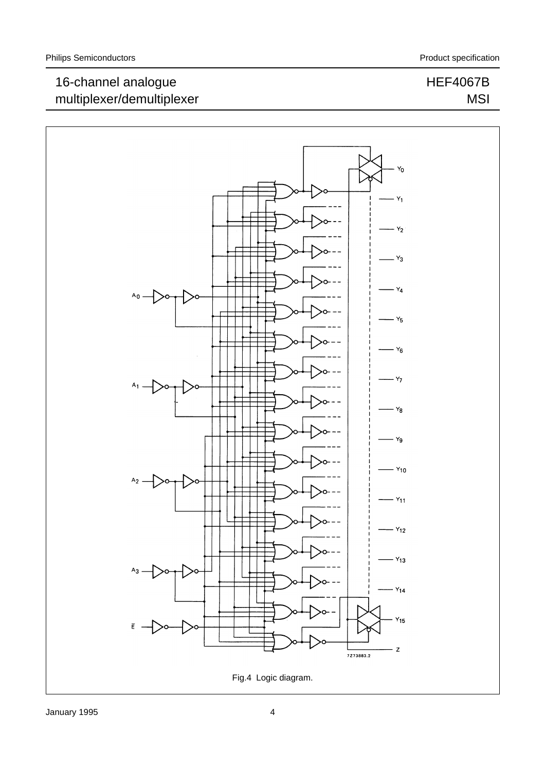HEF4067B

MSI

## 16-channel analogue multiplexer/demultiplexer

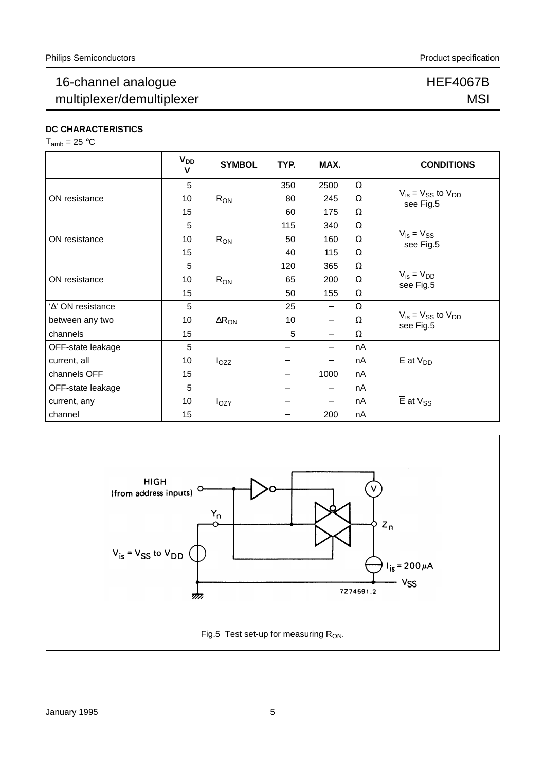### HEF4067B **MSI**

**DC CHARACTERISTICS**

 $T_{amb} = 25 °C$ 

|                            | V <sub>DD</sub><br>v | <b>SYMBOL</b>            | TYP. | MAX.                     |          | <b>CONDITIONS</b>                                               |
|----------------------------|----------------------|--------------------------|------|--------------------------|----------|-----------------------------------------------------------------|
|                            | 5                    | $R_{ON}$                 | 350  | 2500                     | $\Omega$ |                                                                 |
| ON resistance              | 10                   |                          | 80   | 245                      | $\Omega$ | $V_{is} = V_{SS}$ to $V_{DD}$<br>see Fig.5                      |
|                            | 15                   |                          | 60   | 175                      | $\Omega$ |                                                                 |
|                            | 5                    |                          | 115  | 340                      | $\Omega$ |                                                                 |
| ON resistance              | 10                   | $R_{ON}$                 | 50   | 160                      | $\Omega$ | $V_{is} = V_{SS}$<br>see Fig.5                                  |
|                            | 15                   |                          | 40   | 115                      | $\Omega$ |                                                                 |
|                            | 5                    | $R_{ON}$                 | 120  | 365                      | $\Omega$ |                                                                 |
| ON resistance              | 10                   |                          | 65   | 200                      | $\Omega$ | $V_{is} = V_{DD}$<br>see Fig.5                                  |
|                            | 15                   |                          | 50   | 155                      | Ω        |                                                                 |
| ' $\Delta$ ' ON resistance | 5                    |                          | 25   | $\overline{\phantom{m}}$ | $\Omega$ |                                                                 |
| between any two            | 10                   | $\Delta$ R <sub>ON</sub> | 10   | $\qquad \qquad -$        | $\Omega$ | $V_{\text{is}} = V_{\text{SS}}$ to $V_{\text{DD}}$<br>see Fig.5 |
| channels                   | 15                   |                          | 5    | $\overline{\phantom{0}}$ | $\Omega$ |                                                                 |
| OFF-state leakage          | 5                    |                          |      |                          | nA       |                                                                 |
| current, all               | 10                   | $I_{OZZ}$                |      |                          | nA       | $\overline{E}$ at $V_{DD}$                                      |
| channels OFF               | 15                   |                          |      | 1000                     | nA       |                                                                 |
| OFF-state leakage          | 5                    |                          |      |                          | nA       |                                                                 |
| current, any               | 10                   | $I_{OZY}$                |      |                          | nA       | $\overline{E}$ at $V_{SS}$                                      |
| channel                    | 15                   |                          |      | 200                      | nA       |                                                                 |

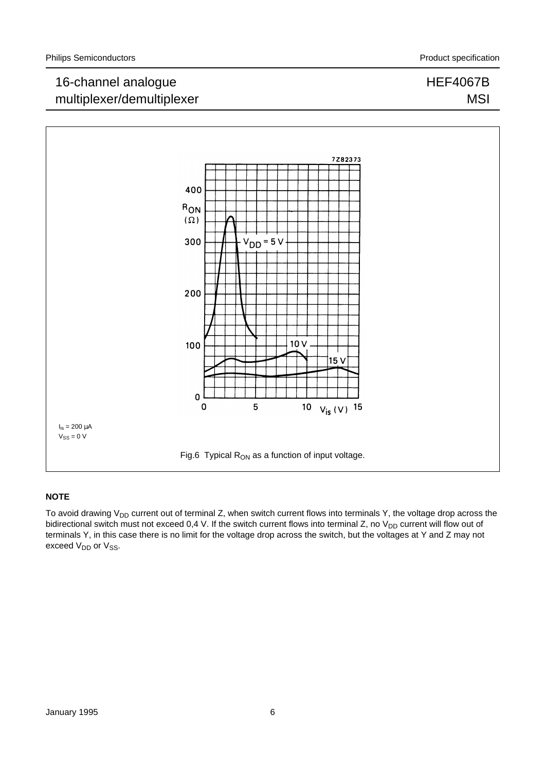HEF4067B

**MSI** 

## 16-channel analogue multiplexer/demultiplexer



#### **NOTE**

To avoid drawing  $V_{DD}$  current out of terminal Z, when switch current flows into terminals Y, the voltage drop across the bidirectional switch must not exceed 0,4 V. If the switch current flows into terminal Z, no  $V_{DD}$  current will flow out of terminals Y, in this case there is no limit for the voltage drop across the switch, but the voltages at Y and Z may not exceed V<sub>DD</sub> or V<sub>SS</sub>.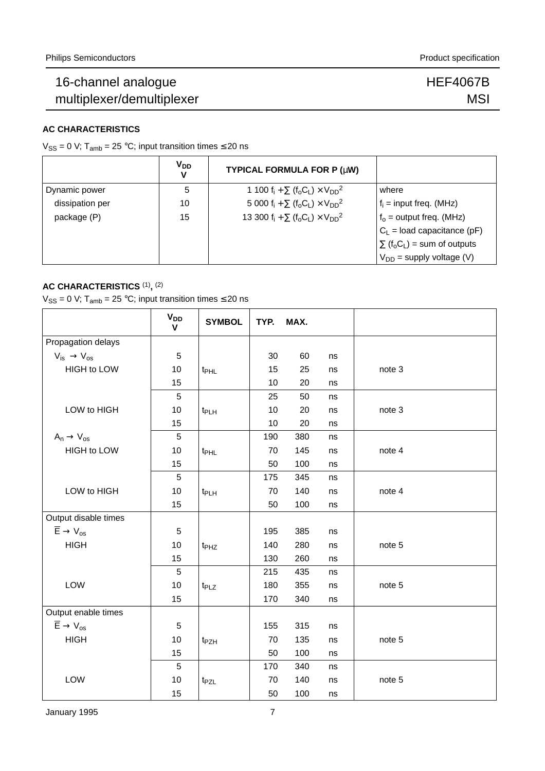HEF4067B **MSI** 

#### **AC CHARACTERISTICS**

V<sub>SS</sub> = 0 V; T<sub>amb</sub> = 25 °C; input transition times  $\leq$  20 ns

|                 | <b>V<sub>DD</sub></b> | TYPICAL FORMULA FOR P (µW)                                                                      |                                                          |
|-----------------|-----------------------|-------------------------------------------------------------------------------------------------|----------------------------------------------------------|
| Dynamic power   | 5                     | 1 100 $f_i + \sum (f_o C_l) \times V_{DD}^2$                                                    | where                                                    |
| dissipation per | 10                    | 5 000 f <sub>i</sub> + $\Sigma$ (f <sub>o</sub> C <sub>L</sub> ) × V <sub>DD</sub> <sup>2</sup> | $f_i$ = input freq. (MHz)                                |
| package (P)     | 15                    | 13 300 $f_i + \sum (f_o C_L) \times V_{DD}^2$                                                   | $f_0$ = output freq. (MHz)                               |
|                 |                       |                                                                                                 | $C_1$ = load capacitance (pF)                            |
|                 |                       |                                                                                                 | $\sum$ (f <sub>o</sub> C <sub>L</sub> ) = sum of outputs |
|                 |                       |                                                                                                 | $V_{DD}$ = supply voltage (V)                            |

#### **AC CHARACTERISTICS** (1)**,** (2)

 $V_{SS} = 0$  V; T<sub>amb</sub> = 25 °C; input transition times  $\leq$  20 ns

|                                                     | <b>V<sub>DD</sub></b><br>$\mathbf{V}$ | <b>SYMBOL</b>    | TYP. | MAX. |    |        |
|-----------------------------------------------------|---------------------------------------|------------------|------|------|----|--------|
| Propagation delays                                  |                                       |                  |      |      |    |        |
| $V_{is} \rightarrow V_{os}$                         | $\sqrt{5}$                            |                  | 30   | 60   | ns |        |
| HIGH to LOW                                         | 10                                    | t <sub>PHL</sub> | 15   | 25   | ns | note 3 |
|                                                     | 15                                    |                  | 10   | 20   | ns |        |
|                                                     | $\sqrt{5}$                            |                  | 25   | 50   | ns |        |
| LOW to HIGH                                         | 10                                    | t <sub>PLH</sub> | 10   | 20   | ns | note 3 |
|                                                     | 15                                    |                  | 10   | 20   | ns |        |
| $A_n \rightarrow V_{os}$                            | 5                                     |                  | 190  | 380  | ns |        |
| <b>HIGH to LOW</b>                                  | 10                                    | t <sub>PHL</sub> | 70   | 145  | ns | note 4 |
|                                                     | 15                                    |                  | 50   | 100  | ns |        |
|                                                     | 5                                     |                  | 175  | 345  | ns |        |
| LOW to HIGH                                         | 10                                    | t <sub>PLH</sub> | 70   | 140  | ns | note 4 |
|                                                     | 15                                    |                  | 50   | 100  | ns |        |
| Output disable times                                |                                       |                  |      |      |    |        |
| $\overline{\mathsf{E}}\to \mathsf{V}_{\mathsf{os}}$ | $\sqrt{5}$                            |                  | 195  | 385  | ns |        |
| <b>HIGH</b>                                         | 10                                    | t <sub>PHZ</sub> | 140  | 280  | ns | note 5 |
|                                                     | 15                                    |                  | 130  | 260  | ns |        |
|                                                     | $\sqrt{5}$                            |                  | 215  | 435  | ns |        |
| LOW                                                 | 10                                    | t <sub>PLZ</sub> | 180  | 355  | ns | note 5 |
|                                                     | 15                                    |                  | 170  | 340  | ns |        |
| Output enable times                                 |                                       |                  |      |      |    |        |
| $\overline{\mathsf{E}}\to \mathsf{V}_{\mathsf{os}}$ | $\,$ 5 $\,$                           |                  | 155  | 315  | ns |        |
| <b>HIGH</b>                                         | 10                                    | t <sub>PZH</sub> | 70   | 135  | ns | note 5 |
|                                                     | 15                                    |                  | 50   | 100  | ns |        |
|                                                     | 5                                     |                  | 170  | 340  | ns |        |
| LOW                                                 | 10                                    | t <sub>PZL</sub> | 70   | 140  | ns | note 5 |
|                                                     | 15                                    |                  | 50   | 100  | ns |        |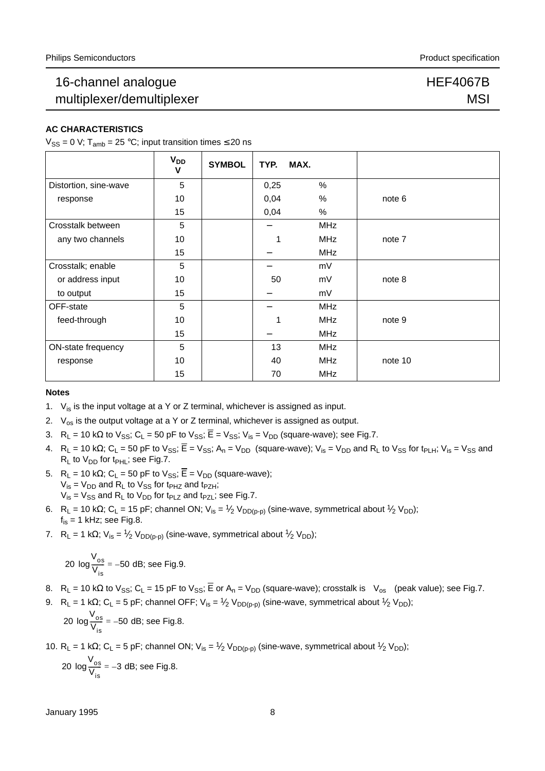### HEF4067B **MSI**

#### **AC CHARACTERISTICS**

 $V_{SS} = 0$  V;  $T_{amb} = 25$  °C; input transition times  $\leq 20$  ns

|                       | $V_{DD}$<br>V | <b>SYMBOL</b> | TYP. | MAX. |            |         |
|-----------------------|---------------|---------------|------|------|------------|---------|
| Distortion, sine-wave | 5             |               | 0,25 |      | %          |         |
| response              | 10            |               | 0,04 |      | %          | note 6  |
|                       | 15            |               | 0,04 |      | %          |         |
| Crosstalk between     | 5             |               |      |      | <b>MHz</b> |         |
| any two channels      | 10            |               | 1    |      | <b>MHz</b> | note 7  |
|                       | 15            |               |      |      | <b>MHz</b> |         |
| Crosstalk; enable     | 5             |               |      |      | mV         |         |
| or address input      | 10            |               | 50   |      | mV         | note 8  |
| to output             | 15            |               |      |      | mV         |         |
| OFF-state             | 5             |               |      |      | <b>MHz</b> |         |
| feed-through          | 10            |               | 1    |      | <b>MHz</b> | note 9  |
|                       | 15            |               |      |      | <b>MHz</b> |         |
| ON-state frequency    | 5             |               | 13   |      | <b>MHz</b> |         |
| response              | 10            |               | 40   |      | <b>MHz</b> | note 10 |
|                       | 15            |               | 70   |      | <b>MHz</b> |         |

#### **Notes**

- 1.  $V_{is}$  is the input voltage at a Y or Z terminal, whichever is assigned as input.
- 2.  $V_{\text{os}}$  is the output voltage at a Y or Z terminal, whichever is assigned as output.
- 3. R<sub>L</sub> = 10 kΩ to  $V_{SS}$ ; C<sub>L</sub> = 50 pF to  $V_{SS}$ ;  $\overline{E} = V_{SS}$ ; V<sub>is</sub> = V<sub>DD</sub> (square-wave); see Fig.7.
- 4.  $R_1 = 10$  kΩ; C<sub>L</sub> = 50 pF to V<sub>SS</sub>;  $\overline{E} = V_{SS}$ ; A<sub>n</sub> = V<sub>DD</sub> (square-wave); V<sub>is</sub> = V<sub>DD</sub> and R<sub>L</sub> to V<sub>SS</sub> for t<sub>PLH</sub>; V<sub>is</sub> = V<sub>SS</sub> and  $R_L$  to  $V_{DD}$  for t<sub>PHL</sub>; see Fig.7.
- 5. R<sub>L</sub> = 10 kΩ; C<sub>L</sub> = 50 pF to V<sub>SS</sub>;  $\overline{E}$  = V<sub>DD</sub> (square-wave);  $V_{is} = V_{DD}$  and R<sub>L</sub> to  $V_{SS}$  for t<sub>PHZ</sub> and t<sub>PZH</sub>;  $V_{is} = V_{SS}$  and R<sub>L</sub> to  $V_{DD}$  for t<sub>PLZ</sub> and t<sub>PZL</sub>; see Fig.7.
- 6. R<sub>L</sub> = 10 kΩ; C<sub>L</sub> = 15 pF; channel ON; V<sub>is</sub> = 1/<sub>2</sub> V<sub>DD(p-p)</sub> (sine-wave, symmetrical about 1/<sub>2</sub> V<sub>DD</sub>);  $f_{is} = 1$  kHz; see Fig.8.
- 7. R<sub>L</sub> = 1 kΩ; V<sub>is</sub> = <sup>1</sup>/<sub>2</sub> V<sub>DD(p-p)</sub> (sine-wave, symmetrical about <sup>1</sup>/<sub>2</sub> V<sub>DD</sub>);

$$
20 \log \frac{V_{\text{os}}}{V_{\text{is}}} = -50 \text{ dB}; \text{ see Fig.9.}
$$

- 8. R<sub>L</sub> = 10 kΩ to V<sub>SS</sub>; C<sub>L</sub> = 15 pF to V<sub>SS</sub>; E or A<sub>n</sub> = V<sub>DD</sub> (square-wave); crosstalk is  $|V_{os}|$  (peak value); see Fig.7.
- 9. R<sub>L</sub> = 1 kΩ; C<sub>L</sub> = 5 pF; channel OFF; V<sub>is</sub> = 1/<sub>2</sub> V<sub>DD(p-p)</sub> (sine-wave, symmetrical about 1/<sub>2</sub> V<sub>DD</sub>);

$$
20 \log \frac{V_{\text{os}}}{V_{\text{is}}} = -50 \text{ dB}; \text{ see Fig.8.}
$$

10. R<sub>L</sub> = 1 kΩ; C<sub>L</sub> = 5 pF; channel ON; V<sub>is</sub> = 1/<sub>2</sub> V<sub>DD(p-p)</sub> (sine-wave, symmetrical about 1/<sub>2</sub> V<sub>DD</sub>);

$$
20 \log \frac{V_{\text{os}}}{V_{\text{is}}} = -3 \text{ dB}; \text{ see Fig.8.}
$$